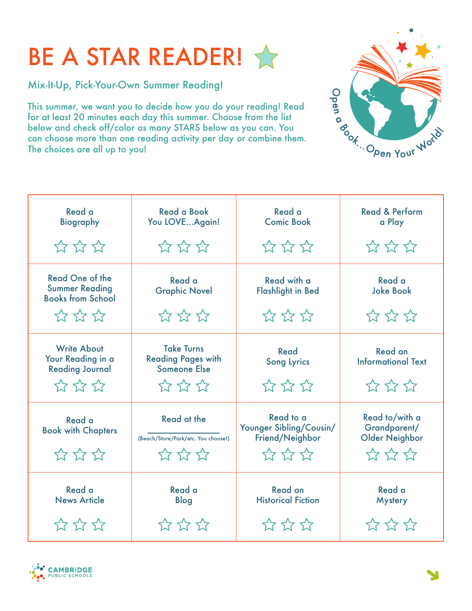## BE A STAR READER!

Mix-It-Up, Pick-Your-Own Summer Reading!

This summer, we want you to decide how you do your reading! Read for at least 20 minutes each day this summer. Choose from the list below and check off/color as many STARS below as you can. You can choose more than one reading activity per day or combine them. The choices are all up to you!